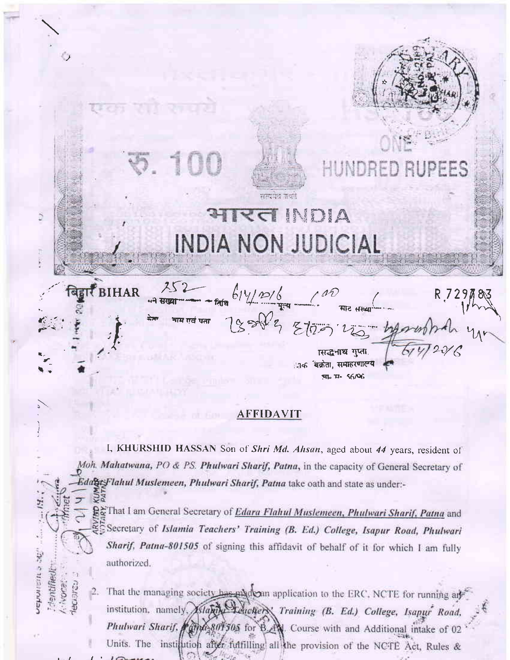$\cup$ FFS समग्रप्राप्त जाताने **AIRST INDIA** ð INDIA NON JUDICIAL  $252 - 614/20/6$ **BIHAR** 189 812 2120 WG गाम एवं पता ासद्धनाथ गुप्ता. ाक बक्रेता, समाहरणालय **पा. 17- 56/06** 

## **AFFIDAVIT**

I, KHURSHID HASSAN Son of Shri Md. Ahsan, aged about 44 years, resident of Moh. Mahatwana, PO & PS. Phulwari Sharif, Patna, in the capacity of General Secretary of EdageFlahul Muslemeen, Phulwari Sharif, Patna take oath and state as under:-

ext That I am General Secretary of *Edara Flahul Muslemeen*, *Phulwari Sharif, Patna* and Secretary of Islamia Teachers' Training (B. Ed.) College, Isapur Road, Phulwari Sharif, Patna-801505 of signing this affidavit of behalf of it for which I am fully authorized.

sehatan sag

rentified CANOL:

That the managing society has made an application to the ERC, NCTE for running and institution, namely, Aslamy Leuchers' Training (B. Ed.) College, Isapur Road, Phulwari Sharif, 1994-801505 for B. N. Course with and Additional intake of 02 Units. The institution after fulfilling all the provision of the NCTE Act, Rules &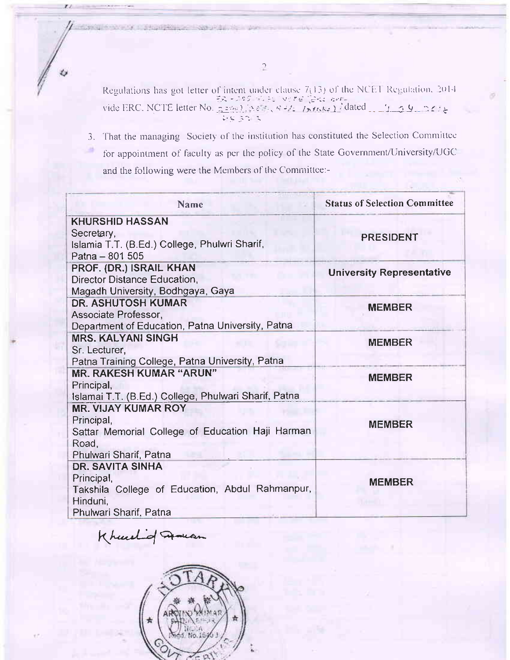Regulations has got letter of intent under clause  $7(13)$  of the NCET Regulation, 2014<br>
ER - 125 E EU NCFE  $\left[\frac{252}{56}\right]$ <br>
vide ERC, NCTE letter No.  $\frac{2599}{565}$ ,  $\frac{336}{565}$ ,  $\frac{337}{566}$ ,  $\frac{337}{566}$ ,  $\frac{337}{5$ 

Students Sports, W

3. That the managing Society of the institution has constituted the Selection Committee for appointment of faculty as per the policy of the State Government/University/UGC and the following were the Members of the Committee:-

| Name                                                           | <b>Status of Selection Committee</b> |  |  |  |
|----------------------------------------------------------------|--------------------------------------|--|--|--|
| <b>KHURSHID HASSAN</b>                                         |                                      |  |  |  |
| Secretary,                                                     | <b>PRESIDENT</b>                     |  |  |  |
| Islamia T.T. (B.Ed.) College, Phulwri Sharif,                  |                                      |  |  |  |
| Patna - 801 505                                                |                                      |  |  |  |
| PROF. (DR.) ISRAIL KHAN                                        | <b>University Representative</b>     |  |  |  |
| Director Distance Education,                                   |                                      |  |  |  |
| Magadh University, Bodhgaya, Gaya<br><b>DR. ASHUTOSH KUMAR</b> |                                      |  |  |  |
| Associate Professor,                                           | <b>MEMBER</b>                        |  |  |  |
| Department of Education, Patna University, Patna               |                                      |  |  |  |
| <b>MRS. KALYANI SINGH</b>                                      | <b>MEMBER</b>                        |  |  |  |
| Sr. Lecturer,                                                  |                                      |  |  |  |
| Patna Training College, Patna University, Patna                |                                      |  |  |  |
| <b>MR. RAKESH KUMAR "ARUN"</b>                                 | <b>MEMBER</b>                        |  |  |  |
| Principal,                                                     |                                      |  |  |  |
| Islamai T.T. (B.Ed.) College, Phulwari Sharif, Patna           |                                      |  |  |  |
| <b>MR. VIJAY KUMAR ROY</b>                                     |                                      |  |  |  |
| Principal,                                                     | <b>MEMBER</b>                        |  |  |  |
| Sattar Memorial College of Education Haji Harman               |                                      |  |  |  |
| Road,                                                          |                                      |  |  |  |
| Phulwari Sharif, Patna                                         |                                      |  |  |  |
| <b>DR. SAVITA SINHA</b>                                        |                                      |  |  |  |
| Principal,                                                     | <b>MEMBER</b>                        |  |  |  |
| Takshila College of Education, Abdul Rahmanpur,                |                                      |  |  |  |
| Hinduni.<br>Phulwari Sharif, Patna                             |                                      |  |  |  |
|                                                                |                                      |  |  |  |

Khurel of movement

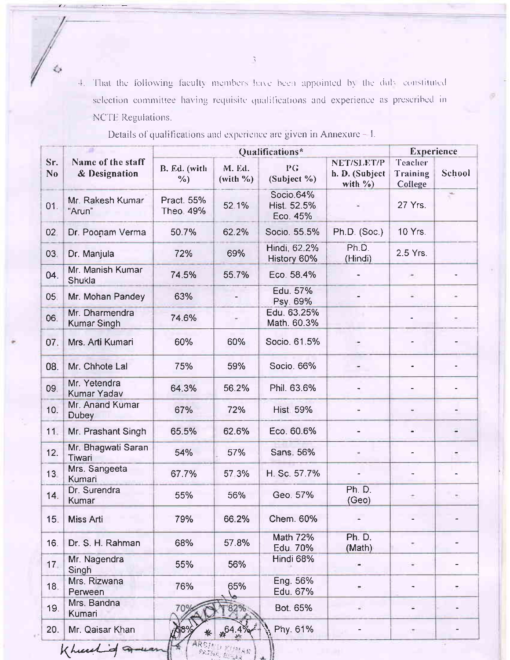4. That the following faculty members have been appointed by the duly constituted selection committee having requisite qualifications and experience as prescribed in NCTE Regulations.

|                 | Name of the staff<br>& Designation   | Qualifications*               |                      |                                      |                                             | <b>Experience</b>              |        |
|-----------------|--------------------------------------|-------------------------------|----------------------|--------------------------------------|---------------------------------------------|--------------------------------|--------|
| Sr.<br>No       |                                      | B. Ed. (with<br>$\frac{6}{2}$ | M. Ed.<br>$(with \%$ | PG<br>(Subject %)                    | NET/SLET/P<br>h. D. (Subject<br>with $\%$ ) | Teacher<br>Training<br>College | School |
| 01.             | Mr. Rakesh Kumar<br>"Arun"           | Pract. 55%<br>Theo 49%        | 52.1%                | Socio.64%<br>Hist. 52.5%<br>Eco. 45% |                                             | 27 Yrs.                        |        |
| 02.             | Dr. Poonam Verma                     | 50.7%                         | 62.2%                | Socio. 55.5%                         | Ph.D. (Soc.)                                | 10 Yrs.                        |        |
| 03.             | Dr. Manjula                          | 72%                           | 69%                  | Hindi, 62.2%<br>History 60%          | Ph.D.<br>(Hindi)                            | 2.5 Yrs.                       |        |
| 04.             | Mr. Manish Kumar<br>Shukla           | 74.5%                         | 55.7%                | Eco. 58.4%                           |                                             | ×                              |        |
| 05              | Mr. Mohan Pandey                     | 63%                           |                      | Edu. 57%<br>Psy. 69%                 |                                             | $\sim$                         |        |
| 06.             | Mr. Dharmendra<br><b>Kumar Singh</b> | 74.6%                         |                      | Edu. 63.25%<br>Math. 60.3%           |                                             |                                |        |
| 07.             | Mrs. Arti Kumari                     | 60%                           | 60%                  | Socio. 61.5%                         |                                             |                                |        |
| 08.             | Mr. Chhote Lal                       | 75%                           | 59%                  | Socio. 66%                           | ۳                                           |                                |        |
| 09.             | Mr. Yetendra<br>Kumar Yadav          | 64.3%                         | 56.2%                | Phil. 63.6%                          |                                             |                                |        |
| 10.             | Mr. Anand Kumar<br><b>Dubey</b>      | 67%                           | 72%                  | <b>Hist. 59%</b>                     |                                             |                                |        |
| 11.             | Mr. Prashant Singh                   | 65.5%                         | 62.6%                | Eco. 60.6%                           |                                             |                                |        |
| 12.             | Mr. Bhagwati Saran<br>Tiwari         | 54%                           | 57%                  | Sans. 56%                            |                                             |                                |        |
| 13 <sub>1</sub> | Mrs. Sangeeta<br>Kumari              | 67.7%                         | 57.3%                | H. Sc. 57.7%                         |                                             |                                |        |
| 14.             | Dr. Surendra<br>Kumar                | 55%                           | 56%                  | Geo. 57%                             | Ph. D.<br>(Geo)                             |                                | ÷      |
| 15.             | Miss Arti                            | 79%                           | 66.2%                | Chem. 60%                            |                                             |                                |        |
| 16.             | Dr. S. H. Rahman                     | 68%                           | 57.8%                | Math 72%<br>Edu. 70%                 | Ph. D.<br>(Math)                            |                                |        |
| 17.             | Mr. Nagendra<br>Singh                | 55%                           | 56%                  | Hindi 68%                            |                                             |                                |        |
| 18.             | Mrs. Rizwana<br>Perween              | 76%                           | 65%                  | Eng. 56%<br>Edu. 67%                 |                                             | ۰                              |        |
| 19.             | Mrs. Bandna<br>Kumari                | 70%                           |                      | Bot. 65%                             |                                             | ÷                              |        |
| 20.             | Mr. Qaisar Khan                      |                               |                      | Phy. 61%                             |                                             | C.                             |        |

经

Details of qualifications and experience are given in Annexure - I.

Khurskind

 $\tilde{\cdot}$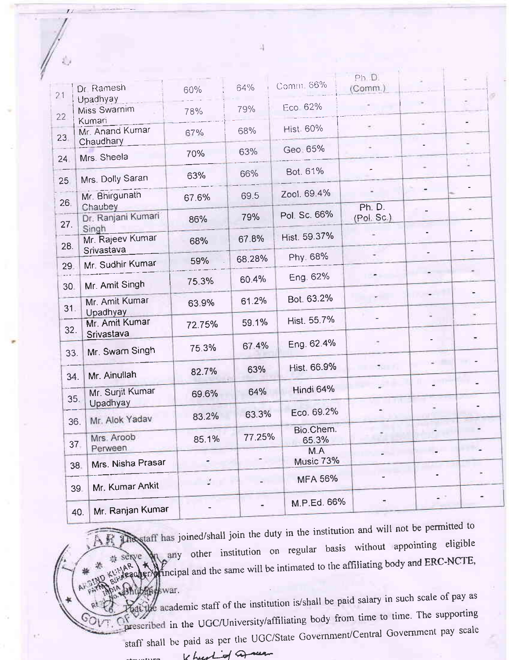| 21  | Dr Ramesh                           | 60%    | 64%    | Comm 66%           | Ph D.<br>(Comm.) |     | $\sigma$ |  |
|-----|-------------------------------------|--------|--------|--------------------|------------------|-----|----------|--|
| 22  | Upadhyay<br>Miss Swarnim<br>Kumari  | 78%    | 79%    | Eco 62%            |                  |     |          |  |
| 23  | Mr. Anand Kumar<br>Chaudhary        | 67%    | 68%    | <b>Hist 60%</b>    | $\bullet$        | u.  |          |  |
| 24  | Mrs. Sheela                         | 70%    | 63%    | Geo 65%            |                  |     |          |  |
| 25  | Mrs. Dolly Saran                    | 63%    | 66%    | Bot. 61%           |                  |     |          |  |
| 26. | Mr. Bhirgunath<br><b>Chaubey</b>    | 67.6%  | 69.5   | Zool. 69.4%        | U.<br>Ph. D.     |     |          |  |
| 27. | Dr. Ranjani Kumari<br>Singh         | 86%    | 79%    | Pol. Sc. 66%       | (Pol, Sc.)       |     |          |  |
| 28. | Mr. Rajeev Kumar<br>Srivastava      | 68%    | 67.8%  | Hist. 59.37%       |                  |     |          |  |
| 29  | Mr. Sudhir Kumar                    | 59%    | 68.28% | Phy. 68%           |                  |     |          |  |
| 30. | Mr. Amit Singh                      | 75.3%  | 60.4%  | Eng. 62%           |                  |     |          |  |
| 31. | Mr. Amit Kumar<br>Upadhyay          | 63.9%  | 61.2%  | Bot. 63.2%         |                  |     |          |  |
| 32. | Mr. Amit Kumar<br>Srivastava        | 72.75% | 59.1%  | Hist. 55.7%        |                  |     |          |  |
| 33. | Mr. Swarn Singh                     | 75.3%  | 67 4%  | Eng. 62.4%         |                  |     |          |  |
| 34. | Mr. Ainullah                        | 82.7%  | 63%    | Hist. 66.9%        | 70000            |     |          |  |
| 35. | Mr. Surjit Kumar                    | 69.6%  | 64%    | Hindi 64%          |                  |     |          |  |
| 36. | Upadhyay<br>Mr. Alok Yadav          | 83.2%  | 63.3%  | Eco. 69.2%         |                  |     |          |  |
| 37. | Mrs. Aroob                          | 85.1%  | 77.25% | Bio.Chem.<br>65.3% |                  |     |          |  |
|     | Perween<br>Mrs. Nisha Prasar<br>38. |        |        | M.A<br>Music 73%   |                  |     |          |  |
|     | Mr. Kumar Ankit<br>39.              | Ľ.     |        | <b>MFA 56%</b>     |                  |     |          |  |
|     | Mr. Ranjan Kumar<br>40.             |        |        | M.P.Ed. 66%        | ۳                | a i |          |  |

and staff has joined/shall join the duty in the institution and will not be permitted to 、昼 any other institution on regular basis without appointing eligible equipped end and the same will be intimated to the affiliating body and ERC-NCTE, # serve

at the academic staff of the institution is/shall be paid salary in such scale of pay as prescribed in the UGC/University/affiliating body from time to time. The supporting staff shall be paid as per the UGC/State Government/Central Government pay scale Khurtof area

E)

边

滟 业

shuband war